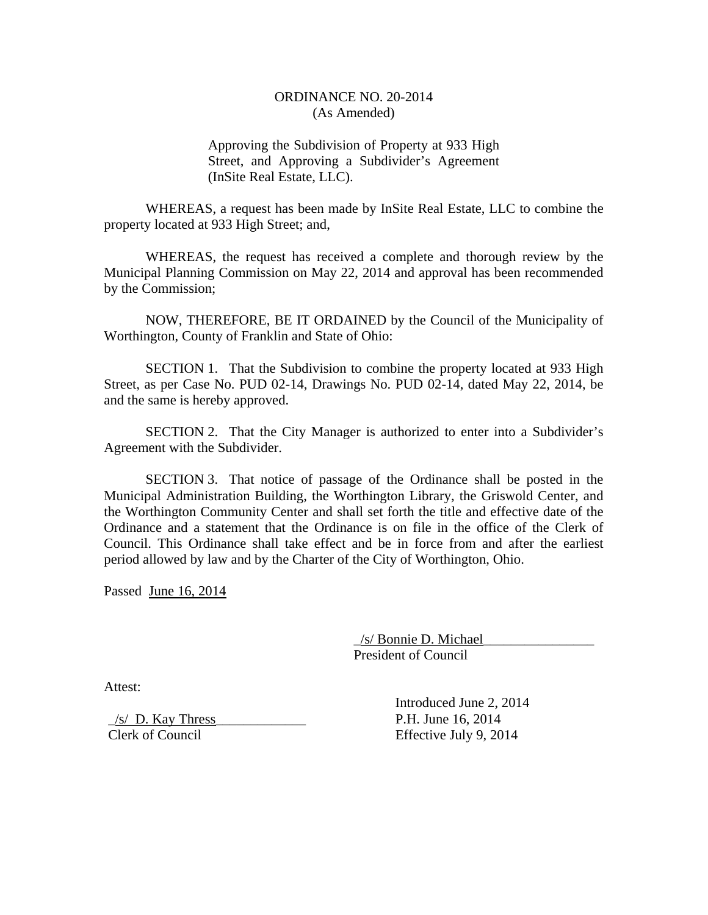# ORDINANCE NO. 20-2014 (As Amended)

Approving the Subdivision of Property at 933 High Street, and Approving a Subdivider's Agreement (InSite Real Estate, LLC).

 WHEREAS, a request has been made by InSite Real Estate, LLC to combine the property located at 933 High Street; and,

 WHEREAS, the request has received a complete and thorough review by the Municipal Planning Commission on May 22, 2014 and approval has been recommended by the Commission;

 NOW, THEREFORE, BE IT ORDAINED by the Council of the Municipality of Worthington, County of Franklin and State of Ohio:

 SECTION 1. That the Subdivision to combine the property located at 933 High Street, as per Case No. PUD 02-14, Drawings No. PUD 02-14, dated May 22, 2014, be and the same is hereby approved.

 SECTION 2. That the City Manager is authorized to enter into a Subdivider's Agreement with the Subdivider.

 SECTION 3. That notice of passage of the Ordinance shall be posted in the Municipal Administration Building, the Worthington Library, the Griswold Center, and the Worthington Community Center and shall set forth the title and effective date of the Ordinance and a statement that the Ordinance is on file in the office of the Clerk of Council. This Ordinance shall take effect and be in force from and after the earliest period allowed by law and by the Charter of the City of Worthington, Ohio.

Passed June 16, 2014

 \_/s/ Bonnie D. Michael\_\_\_\_\_\_\_\_\_\_\_\_\_\_\_\_ President of Council

Attest:

 $/s/$  D. Kay Thress P.H. June 16, 2014

 Introduced June 2, 2014 Clerk of Council Effective July 9, 2014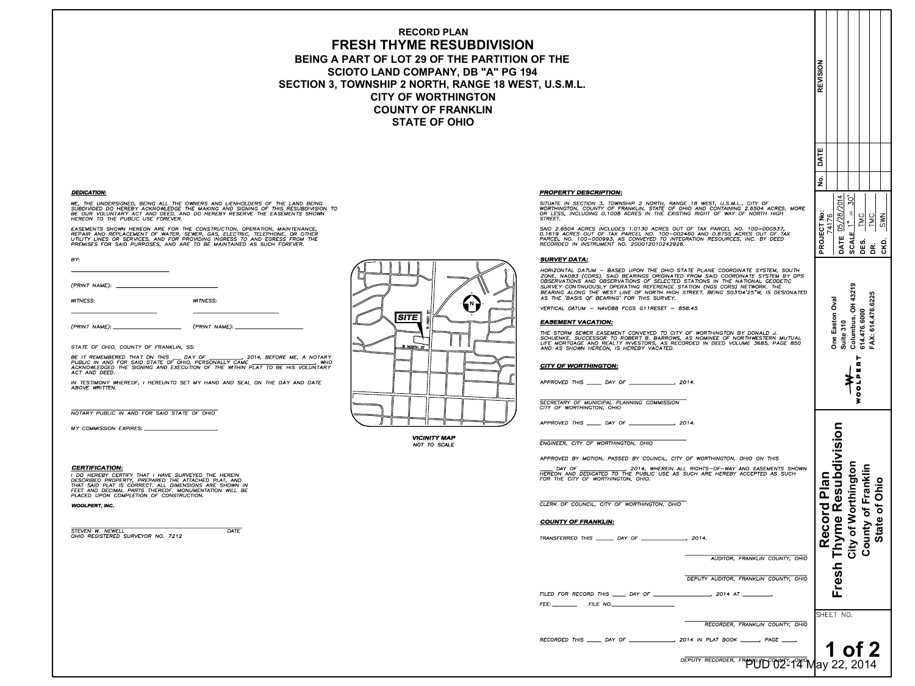# **RECORD PLAN FRESH THYME RESUBDIVISION** BEING A PART OF LOT 29 OF THE PARTITION OF THE **SCIOTO LAND COMPANY, DB "A" PG 194 SECTION 3, TOWNSHIP 2 NORTH, RANGE 18 WEST, U.S.M.L. CITY OF WORTHINGTON COUNTY OF FRANKLIN STATE OF OHIO**

# **DEDICATION:**

WE, THE UNDERSIGNED, BEING ALL THE OWNERS AND LIENHOLDERS OF THE LAND BEING SUBDIVIDED DO HEREBY ACKNOWLEDGE THE MAKING AND SIGNING OF THIS RESUBDIVISION TO<br>BE OUR VOLUNTARY ACT AND DEED, AND DO HEREBY RESERVE THE EASEMENTS SHOWN HEREON TO THE PUBLIC USE FOREVER.

EASEMENTS SHOWN HEREON ARE FOR THE CONSTRUCTION, OPERATION, MAINTENANCE, REPAIR AND REPLACEMENT OF WATER, SEWER, GAS, ELECTRIC, TELEPHONE, OR OTHER<br>UTILITY LINES OR SERVICES, AND FOR PROVIDING INGRESS TO AND EGRESS FROM THE PREMISES FOR SAID PURPOSES, AND ARE TO BE MAINTAINED AS SUCH FOREVER.

BY:

**WITNESS:** 

**WITNESS:** 

 $(PRINT NAME):$ 

(PRINT NAME):

STATE OF OHIO, COUNTY OF FRANKLIN, SS:

BE IT REMEMBERED THAT ON THIS \_\_\_ DAY OF \_\_\_\_\_\_\_\_\_\_\_\_, 2014, BEFORE ME, A NOTARY<br>PUBLIC IN AND FOR SAID STATE OF OHIO, PERSONALLY CAME \_\_\_\_\_\_\_\_\_\_\_\_\_\_\_\_\_\_\_\_\_, WHO<br>ACKNOWLEDGED THE SIGNING AND EXECUTION OF THE WITHIN PLAT TO ACT AND DEED.

IN TESTIMONY WHEREOF, I HEREUNTO SET MY HAND AND SEAL ON THE DAY AND DATE ABOVE WRITTEN.

NOTARY PUBLIC IN AND FOR SAID STATE OF OHIO

MY COMMISSION EXPIRES: \_\_

**VICINITY MAP** NOT TO SCALE

## **CERTIFICATION:**

I DO HEREBY CERTIFY THAT I HAVE SURVEYED THE HEREIN DESCRIBED PROPERTY, PREPARED THE ATTACHED PLAT, AND<br>THAT SAID PLAT IS CORRECT. ALL DIMENSIONS ARE SHOWN IN FEET AND DECIMAL PARTS THEREOF. MONUMENTATION WILL BE PLACED UPON COMPLETION OF CONSTRUCTION.

**WOOLPERT, INC.** 

**STEVEN W. NEWELL** OHIO REGISTERED SURVEYOR NO. 7212 **DATE** 



# **PROPERTY DESCRIPTION:**

SITUATE IN SECTION 3, TOWNSHIP 2 NORTH, RANGE 18 WEST, U.S.M.L., CITY OF WORTHINGTON, COUNTY OF FRANKLIN, STATE OF OHIO AND CONTAINING 2.6504 ACRES, MORE<br>OR LESS, INCLUDING 0.1008 ACRES IN THE EXISTING RIGHT OF WAY OF NORTH HIGH STREET.

SAID 2.6504 ACRES INCLUDES 1.0130 ACRES OUT OF TAX PARCEL NO. 100-000537, 0.1619 ACRES OUT OF TAX PARCEL NO. 100-002460 AND 0.8755 ACRES OUT OF TAX PARCEL NO. 100-000357,<br>PARCEL NO. 100-000993, AS CONVEYED TO INTEGRATION RESOURCES, INC. BY DEED<br>RECORDED IN INSTRUMENT NO. 200012010242926.

# **SURVEY DATA:**

HORIZONTAL DATUM - BASED UPON THE OHIO STATE PLANE COORDINATE SYSTEM, SOUTH ZONE, NAD83 (CORS). SAID BEARINGS ORIGINATED FROM SAID COORDINATE SYSTEM BY GPS OBSERVATIONS AND OBSERVATIONS OF SELECTED STATIONS IN THE NATIONAL GEODETIC SURVEY CONTINUOUSLY OPERATING REFERENCE STATION (NGS CORS) NETWORK. THE BEARING ALONG THE WEST LINE OF NORTH HIGH STREET, BEING S03'04'25"W, IS DESIGNATED AS THE 'BASIS OF BEARING' FOR THIS SURVEY.

VERTICAL DATUM - NAVD88 FCGS G11RESET - 858.45

#### **EASEMENT VACATION:**

THE STORM SEWER EASEMENT CONVEYED TO CITY OF WORTHINGTON BY DONALD J. SCHUENKE, SUCCESSOR TO ROBERT B. BARROWS, AS NOMINEE OF NORTHWESTERN MUTUAL LIFE MORTGAGE AND REALTY INVESTORS, AS RECORDED IN DEED VOLUME 3685, PAGE 850 AND AS SHOWN HEREON, IS HEREBY VACATED.

## **CITY OF WORTHINGTON:**

SECRETARY OF MUNICIPAL PLANNING COMMISSION CITY OF WORTHINGTON, OHIO

ENGINEER, CITY OF WORTHINGTON, OHIO

APPROVED BY MOTION, PASSED BY COUNCIL, CITY OF WORTHINGTON, OHIO ON THIS

DAY OF , 2014, WHEREIN ALL RIGHTS-OF-WAY AND EASEMENTS SHOWN HEREON AND DEDICATED TO THE PUBLIC USE AS SUCH ARE HEREBY ACCEPTED AS SUCH FOR THE CITY OF WORTHINGTON, OHIO.

CLERK OF COUNCIL, CITY OF WORTHINGTON, OHIO

## **COUNTY OF FRANKLIN:**

AUDITOR, FRANKLIN COUNTY, OHIC

DEPUTY AUDITOR, FRANKLIN COUNTY, OHIC

| FILED FOR RECORD THIS | DAY OF | 2014.<br><b>A</b> 7 |
|-----------------------|--------|---------------------|
| FEE:<br>FILE NO       |        |                     |

RECORDER, FRANKLIN COUNTY, OHIC

DEPUTY RECORDER, FRANKLID CONT. 1940 May 22, 2014

| Ī<br>٨<br>Ù<br>I |  |
|------------------|--|
|                  |  |

| $\mathsf{D}$<br>V | <b>REVISIO</b><br>No. DATE<br>DATE 05/28/2014<br><b>SCALE</b> $1" = 30'$<br>PROJECT No:<br><b>TMC</b><br><b>TMC</b><br>74176<br>CKD. SWN<br>DES.<br><u>ki</u><br>43219<br>FAX: 614.476.6225<br><b>One Easton Oval</b><br>Columbus, OH<br>614.476.6000<br>Suite 310<br>WOOLPERT<br>$\frac{1}{\frac{1}{\sqrt{2}}}$<br>yme Resubdivision<br>unty of Franklin |
|-------------------|-----------------------------------------------------------------------------------------------------------------------------------------------------------------------------------------------------------------------------------------------------------------------------------------------------------------------------------------------------------|
| 5                 | City of Worthington<br><b>Record Plan</b><br><b>State of Ohio</b><br>rest<br>SHEET NO.                                                                                                                                                                                                                                                                    |
|                   | <b>of</b><br>1<br>2011                                                                                                                                                                                                                                                                                                                                    |